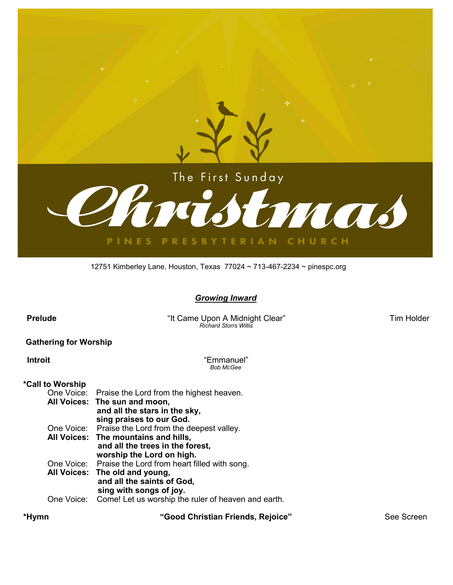

#### 12751 Kimberley Lane, Houston, Texas 77024 ~ 713-467-2234 ~ pinespc.org

#### *Growing Inward*

 **Prelude** "It Came Upon A Midnight Clear" Tim Holder  *Richard Storrs Willis*

### **Gathering for Worship**

 **Introit** "Emmanuel" *Bob McGee*

#### **\*Call to Worship**

|  | One Voice: Praise the Lord from the highest heaven.            |
|--|----------------------------------------------------------------|
|  | All Voices: The sun and moon,                                  |
|  | and all the stars in the sky,                                  |
|  | sing praises to our God.                                       |
|  | One Voice: Praise the Lord from the deepest valley.            |
|  | All Voices: The mountains and hills,                           |
|  | and all the trees in the forest,                               |
|  | worship the Lord on high.                                      |
|  | One Voice: Praise the Lord from heart filled with song.        |
|  | All Voices: The old and young,                                 |
|  | and all the saints of God,                                     |
|  | sing with songs of joy.                                        |
|  | One Voice: Come! Let us worship the ruler of heaven and earth. |
|  |                                                                |

 **\*Hymn "Good Christian Friends, Rejoice"** See Screen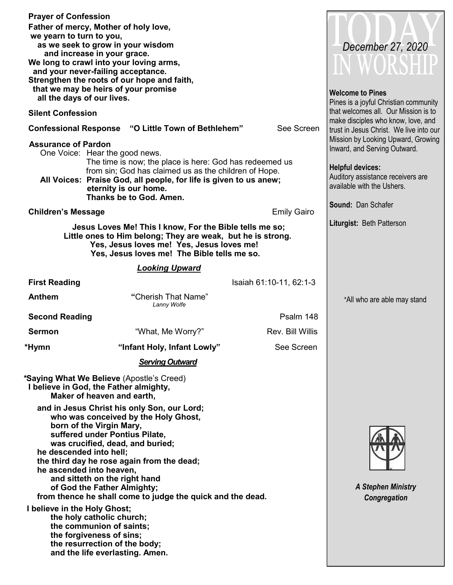| <b>Prayer of Confession</b><br>we yearn to turn to you, | Father of mercy, Mother of holy love,<br>as we seek to grow in your wisdom                                                                                                                                                                                                                       | December 27, 2020                     |                                                                                            |
|---------------------------------------------------------|--------------------------------------------------------------------------------------------------------------------------------------------------------------------------------------------------------------------------------------------------------------------------------------------------|---------------------------------------|--------------------------------------------------------------------------------------------|
|                                                         | and increase in your grace.<br>We long to crawl into your loving arms,<br>and your never-failing acceptance.<br>Strengthen the roots of our hope and faith,<br>that we may be heirs of your promise                                                                                              | IN WORSHIP<br><b>Welcome to Pines</b> |                                                                                            |
| all the days of our lives.                              |                                                                                                                                                                                                                                                                                                  |                                       | Pines is a joyful Christian community<br>that welcomes all. Our Mission is to              |
| <b>Silent Confession</b>                                | <b>Confessional Response "O Little Town of Bethlehem"</b>                                                                                                                                                                                                                                        | See Screen                            | make disciples who know, love, and                                                         |
| <b>Assurance of Pardon</b>                              |                                                                                                                                                                                                                                                                                                  |                                       | trust in Jesus Christ. We live into our<br>Mission by Looking Upward, Growing              |
|                                                         | One Voice: Hear the good news.<br>The time is now; the place is here: God has redeemed us                                                                                                                                                                                                        |                                       | Inward, and Serving Outward.                                                               |
|                                                         | from sin; God has claimed us as the children of Hope.<br>All Voices: Praise God, all people, for life is given to us anew;<br>eternity is our home.<br>Thanks be to God. Amen.                                                                                                                   |                                       | <b>Helpful devices:</b><br>Auditory assistance receivers are<br>available with the Ushers. |
| <b>Children's Message</b>                               |                                                                                                                                                                                                                                                                                                  | <b>Emily Gairo</b>                    | <b>Sound: Dan Schafer</b>                                                                  |
|                                                         | Jesus Loves Me! This I know, For the Bible tells me so;                                                                                                                                                                                                                                          |                                       | Liturgist: Beth Patterson                                                                  |
|                                                         | Little ones to Him belong; They are weak, but he is strong.<br>Yes, Jesus loves me! Yes, Jesus loves me!<br>Yes, Jesus loves me! The Bible tells me so.                                                                                                                                          |                                       |                                                                                            |
|                                                         | <b>Looking Upward</b>                                                                                                                                                                                                                                                                            |                                       |                                                                                            |
| <b>First Reading</b>                                    |                                                                                                                                                                                                                                                                                                  | Isaiah 61:10-11, 62:1-3               |                                                                                            |
| <b>Anthem</b>                                           | "Cherish That Name"<br>Lanny Wolfe                                                                                                                                                                                                                                                               |                                       | *All who are able may stand                                                                |
| <b>Second Reading</b>                                   |                                                                                                                                                                                                                                                                                                  | Psalm 148                             |                                                                                            |
| <b>Sermon</b>                                           | "What, Me Worry?"                                                                                                                                                                                                                                                                                | Rev. Bill Willis                      |                                                                                            |
| *Hymn                                                   | "Infant Holy, Infant Lowly"                                                                                                                                                                                                                                                                      | See Screen                            |                                                                                            |
|                                                         | <b>Serving Outward</b>                                                                                                                                                                                                                                                                           |                                       |                                                                                            |
|                                                         | <i>*Saying What We Believe (Apostle's Creed)</i><br>I believe in God, the Father almighty,<br>Maker of heaven and earth.                                                                                                                                                                         |                                       |                                                                                            |
| he descended into hell;                                 | and in Jesus Christ his only Son, our Lord;<br>who was conceived by the Holy Ghost,<br>born of the Virgin Mary,<br>suffered under Pontius Pilate,<br>was crucified, dead, and buried;<br>the third day he rose again from the dead;<br>he ascended into heaven,<br>and sitteth on the right hand | <b>A Stephen Ministry</b>             |                                                                                            |
|                                                         | of God the Father Almighty;<br>from thence he shall come to judge the quick and the dead.                                                                                                                                                                                                        | Congregation                          |                                                                                            |
| I believe in the Holy Ghost;                            | the holy catholic church;<br>the communion of saints;<br>the forgiveness of sins;<br>the resurrection of the body;<br>and the life everlasting. Amen.                                                                                                                                            |                                       |                                                                                            |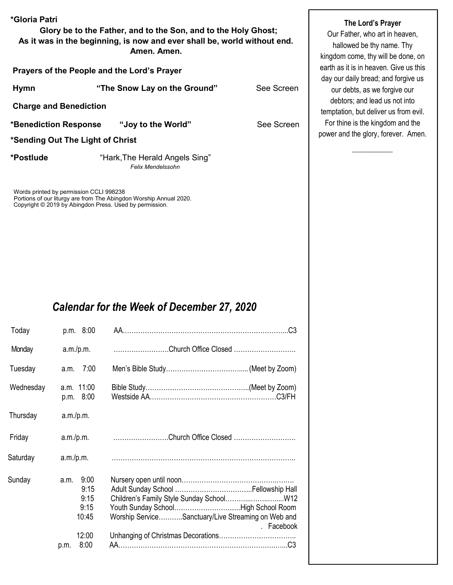| *Gloria Patri                               | Glory be to the Father, and to the Son, and to the Holy Ghost;<br>As it was in the beginning, is now and ever shall be, world without end.<br>Amen. Amen. |            |  |  |
|---------------------------------------------|-----------------------------------------------------------------------------------------------------------------------------------------------------------|------------|--|--|
| Prayers of the People and the Lord's Prayer |                                                                                                                                                           |            |  |  |
| <b>Hymn</b>                                 | "The Snow Lay on the Ground"                                                                                                                              | See Screen |  |  |
| <b>Charge and Benediction</b>               |                                                                                                                                                           |            |  |  |
|                                             | *Benediction Response "Joy to the World"                                                                                                                  | See Screen |  |  |
| *Sending Out The Light of Christ            |                                                                                                                                                           |            |  |  |
| *Postlude                                   | "Hark, The Herald Angels Sing"<br><b>Felix Mendelssohn</b>                                                                                                |            |  |  |
| Morde printed by permission CCLI 008238     |                                                                                                                                                           |            |  |  |

s printed by permission CCLI 9 Portions of our liturgy are from The Abingdon Worship Annual 2020. Copyright © 2019 by Abingdon Press. Used by permission.

# *Calendar for the Week of December 27, 2020*

| Today     | p.m. 8:00                                                              |                                                                  |
|-----------|------------------------------------------------------------------------|------------------------------------------------------------------|
| Monday    | a.m./p.m.                                                              | Church Office Closed                                             |
| Tuesday   | 7:00<br>a.m.                                                           |                                                                  |
| Wednesday | a.m. 11:00<br>p.m. 8:00                                                |                                                                  |
| Thursday  | a.m./p.m.                                                              |                                                                  |
| Friday    | a.m./p.m.                                                              | Church Office Closed                                             |
| Saturday  | a.m./p.m.                                                              |                                                                  |
| Sunday    | 9:00<br>a.m.<br>9:15<br>9:15<br>9:15<br>10:45<br>12:00<br>8:00<br>p.m. | Worship ServiceSanctuary/Live Streaming on Web and<br>. Facebook |

## **The Lord's Prayer**

Our Father, who art in heaven, hallowed be thy name. Thy kingdom come, thy will be done, on earth as it is in heaven. Give us this day our daily bread; and forgive us our debts, as we forgive our debtors; and lead us not into temptation, but deliver us from evil. For thine is the kingdom and the power and the glory, forever. Amen.

 $\overline{\phantom{a}}$  , where  $\overline{\phantom{a}}$